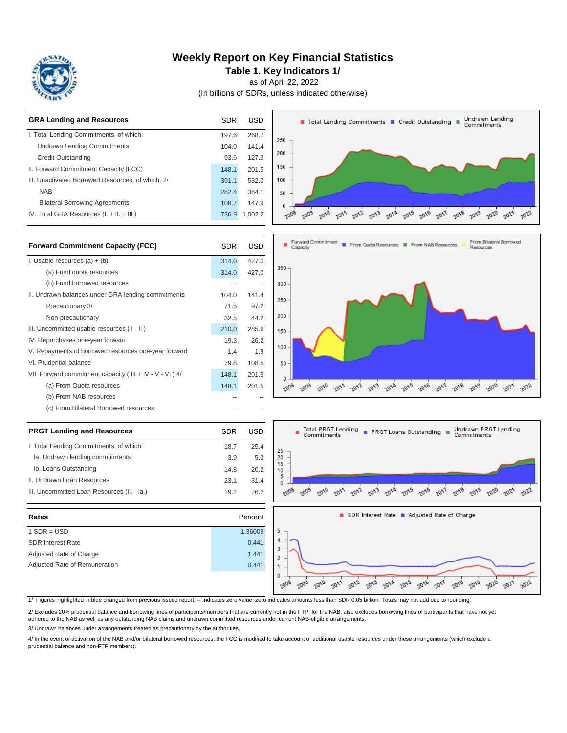

### **Weekly Report on Key Financial Statistics**

**Table 1. Key Indicators 1/**

as of April 22, 2022

(In billions of SDRs, unless indicated otherwise)



| <b>Forward Commitment Capacity (FCC)</b>                  | SDR   | USD   |
|-----------------------------------------------------------|-------|-------|
| I. Usable resources $(a) + (b)$                           |       | 427.0 |
| (a) Fund quota resources                                  | 314.0 | 427.0 |
| (b) Fund borrowed resources                               |       |       |
| II. Undrawn balances under GRA lending commitments        | 104.0 | 141.4 |
| Precautionary 3/                                          | 71.5  | 97.2  |
| Non-precautionary                                         | 32.5  | 44.2  |
| III. Uncommitted usable resources (I-II)                  | 210.0 | 285.6 |
| IV. Repurchases one-year forward                          | 19.3  | 26.2  |
| V. Repayments of borrowed resources one-year forward      |       | 1.9   |
| VI. Prudential balance                                    | 79.8  | 108.5 |
| VII. Forward commitment capacity (III + IV - V - VI) $4/$ | 148.1 | 201.5 |
| (a) From Quota resources                                  | 148.1 | 201.5 |
| (b) From NAB resources                                    |       |       |
| (c) From Bilateral Borrowed resources                     |       |       |







1/ Figures highlighted in blue changed from previous issued report; -- Indicates zero value, zero indicates amounts less than SDR 0.05 billion. Totals may not add due to rounding.

18.7 25.4 3.9 5.3

23.1 31.4

2/ Excludes 20% prudential balance and borrowing lines of participants/members that are currently not in the FTP; for the NAB, also excludes borrowing lines of participants that have not yet adhered to the NAB as well as any outstanding NAB claims and undrawn committed resources under current NAB-eligible arrangements.

3/ Undrawn balances under arrangements treated as precautionary by the authorities.

**Rates** Percent

SDR Interest Rate 0.441 Adjusted Rate of Charge 1.441 Adjusted Rate of Remuneration **COMEX 1988** 0.441

Ia. Undrawn lending commitments

III. Uncommitted Loan Resources (II. - Ia.)

**PRGT Lending and Resources** I. Total Lending Commitments, of which:

Ib. Loans Outstanding

II. Undrawn Loan Resources

4/ In the event of activation of the NAB and/or bilateral borrowed resources, the FCC is modified to take account of additional usable resources under these arrangements (which exclude a prudential balance and non-FTP members).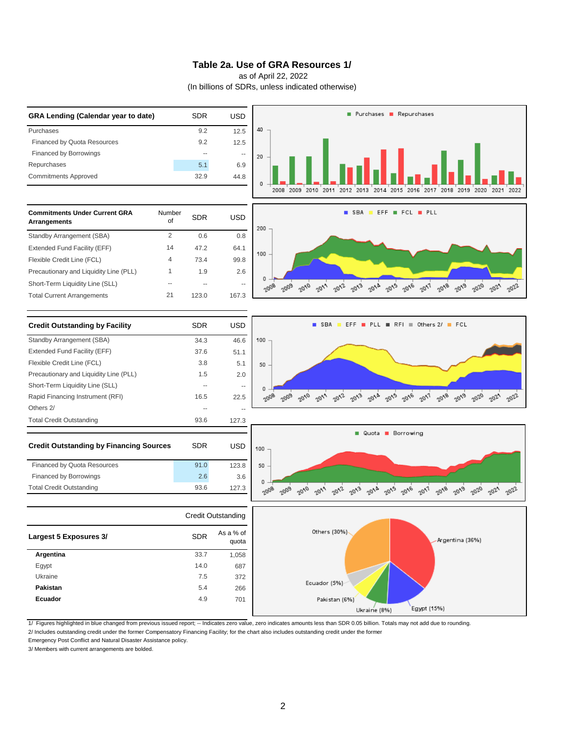#### **Table 2a. Use of GRA Resources 1/**

as of April 22, 2022

(In billions of SDRs, unless indicated otherwise)



2/ Includes outstanding credit under the former Compensatory Financing Facility; for the chart also includes outstanding credit under the former

Emergency Post Conflict and Natural Disaster Assistance policy.

3/ Members with current arrangements are bolded.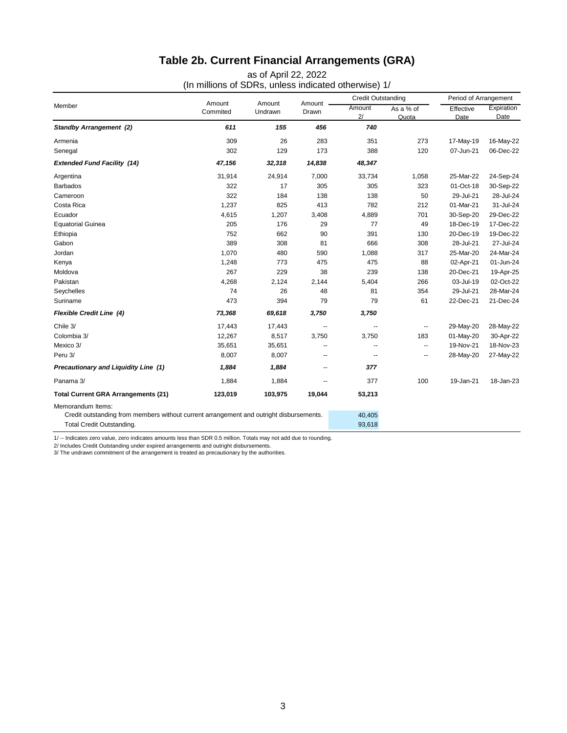# **Table 2b. Current Financial Arrangements (GRA)**

(In millions of SDRs, unless indicated otherwise) 1/ as of April 22, 2022

| Member                                                                                  |                    |                   |                   | <b>Credit Outstanding</b> |                          | Period of Arrangement |                    |
|-----------------------------------------------------------------------------------------|--------------------|-------------------|-------------------|---------------------------|--------------------------|-----------------------|--------------------|
|                                                                                         | Amount<br>Commited | Amount<br>Undrawn | Amount .<br>Drawn | Amount<br>2/              | As a % of<br>Quota       | Effective<br>Date     | Expiration<br>Date |
| <b>Standby Arrangement (2)</b>                                                          | 611                | 155               | 456               | 740                       |                          |                       |                    |
| Armenia                                                                                 | 309                | 26                | 283               | 351                       | 273                      | 17-May-19             | 16-May-22          |
| Senegal                                                                                 | 302                | 129               | 173               | 388                       | 120                      | 07-Jun-21             | 06-Dec-22          |
| <b>Extended Fund Facility (14)</b>                                                      | 47,156             | 32,318            | 14,838            | 48,347                    |                          |                       |                    |
| Argentina                                                                               | 31,914             | 24,914            | 7,000             | 33,734                    | 1,058                    | 25-Mar-22             | 24-Sep-24          |
| <b>Barbados</b>                                                                         | 322                | 17                | 305               | 305                       | 323                      | 01-Oct-18             | 30-Sep-22          |
| Cameroon                                                                                | 322                | 184               | 138               | 138                       | 50                       | 29-Jul-21             | 28-Jul-24          |
| Costa Rica                                                                              | 1,237              | 825               | 413               | 782                       | 212                      | 01-Mar-21             | 31-Jul-24          |
| Ecuador                                                                                 | 4,615              | 1,207             | 3,408             | 4,889                     | 701                      | 30-Sep-20             | 29-Dec-22          |
| <b>Equatorial Guinea</b>                                                                | 205                | 176               | 29                | 77                        | 49                       | 18-Dec-19             | 17-Dec-22          |
| Ethiopia                                                                                | 752                | 662               | 90                | 391                       | 130                      | 20-Dec-19             | 19-Dec-22          |
| Gabon                                                                                   | 389                | 308               | 81                | 666                       | 308                      | 28-Jul-21             | 27-Jul-24          |
| Jordan                                                                                  | 1,070              | 480               | 590               | 1,088                     | 317                      | 25-Mar-20             | 24-Mar-24          |
| Kenya                                                                                   | 1,248              | 773               | 475               | 475                       | 88                       | 02-Apr-21             | 01-Jun-24          |
| Moldova                                                                                 | 267                | 229               | 38                | 239                       | 138                      | 20-Dec-21             | 19-Apr-25          |
| Pakistan                                                                                | 4,268              | 2,124             | 2,144             | 5,404                     | 266                      | 03-Jul-19             | 02-Oct-22          |
| Seychelles                                                                              | 74                 | 26                | 48                | 81                        | 354                      | 29-Jul-21             | 28-Mar-24          |
| Suriname                                                                                | 473                | 394               | 79                | 79                        | 61                       | 22-Dec-21             | 21-Dec-24          |
| <b>Flexible Credit Line (4)</b>                                                         | 73,368             | 69,618            | 3,750             | 3,750                     |                          |                       |                    |
| Chile 3/                                                                                | 17,443             | 17,443            | --                | --                        |                          | 29-May-20             | 28-May-22          |
| Colombia 3/                                                                             | 12,267             | 8,517             | 3,750             | 3,750                     | 183                      | 01-May-20             | 30-Apr-22          |
| Mexico 3/                                                                               | 35,651             | 35,651            | --                | --                        | $\overline{\phantom{a}}$ | 19-Nov-21             | 18-Nov-23          |
| Peru 3/                                                                                 | 8,007              | 8,007             | --                | --                        | --                       | 28-May-20             | 27-May-22          |
| Precautionary and Liquidity Line (1)                                                    | 1,884              | 1,884             | --                | 377                       |                          |                       |                    |
| Panama 3/                                                                               | 1,884              | 1,884             | --                | 377                       | 100                      | 19-Jan-21             | 18-Jan-23          |
| <b>Total Current GRA Arrangements (21)</b>                                              | 123,019            | 103,975           | 19,044            | 53,213                    |                          |                       |                    |
| Memorandum Items:                                                                       |                    |                   |                   |                           |                          |                       |                    |
| Credit outstanding from members without current arrangement and outright disbursements. |                    |                   |                   | 40,405                    |                          |                       |                    |
| Total Credit Outstanding.                                                               |                    |                   |                   | 93,618                    |                          |                       |                    |

1/ -- Indicates zero value, zero indicates amounts less than SDR 0.5 million. Totals may not add due to rounding.

2/ Includes Credit Outstanding under expired arrangements and outright disbursements.<br>3/ The undrawn commitment of the arrangement is treated as precautionary by the authorities.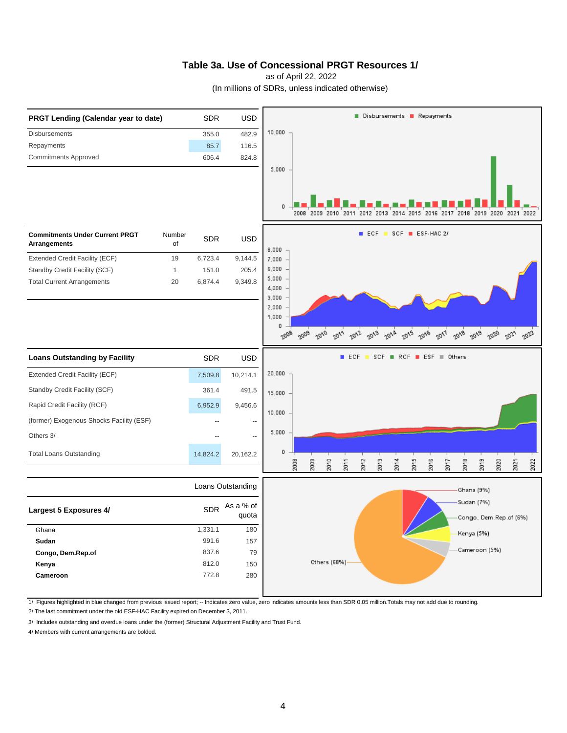#### **Table 3a. Use of Concessional PRGT Resources 1/**

as of April 22, 2022

(In millions of SDRs, unless indicated otherwise)



1/ Figures highlighted in blue changed from previous issued report; -- Indicates zero value, zero indicates amounts less than SDR 0.05 million.Totals may not add due to rounding.

2/ The last commitment under the old ESF-HAC Facility expired on December 3, 2011.

3/ Includes outstanding and overdue loans under the (former) Structural Adjustment Facility and Trust Fund.

4/ Members with current arrangements are bolded.